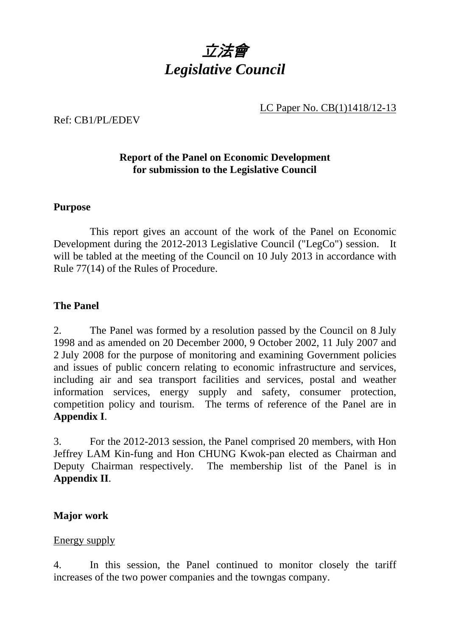

### LC Paper No. CB(1)1418/12-13

Ref: CB1/PL/EDEV

## **Report of the Panel on Economic Development for submission to the Legislative Council**

#### **Purpose**

 This report gives an account of the work of the Panel on Economic Development during the 2012-2013 Legislative Council ("LegCo") session. It will be tabled at the meeting of the Council on 10 July 2013 in accordance with Rule 77(14) of the Rules of Procedure.

### **The Panel**

2. The Panel was formed by a resolution passed by the Council on 8 July 1998 and as amended on 20 December 2000, 9 October 2002, 11 July 2007 and 2 July 2008 for the purpose of monitoring and examining Government policies and issues of public concern relating to economic infrastructure and services, including air and sea transport facilities and services, postal and weather information services, energy supply and safety, consumer protection, competition policy and tourism. The terms of reference of the Panel are in **Appendix I**.

3. For the 2012-2013 session, the Panel comprised 20 members, with Hon Jeffrey LAM Kin-fung and Hon CHUNG Kwok-pan elected as Chairman and Deputy Chairman respectively. The membership list of the Panel is in **Appendix II**.

### **Major work**

#### Energy supply

4. In this session, the Panel continued to monitor closely the tariff increases of the two power companies and the towngas company.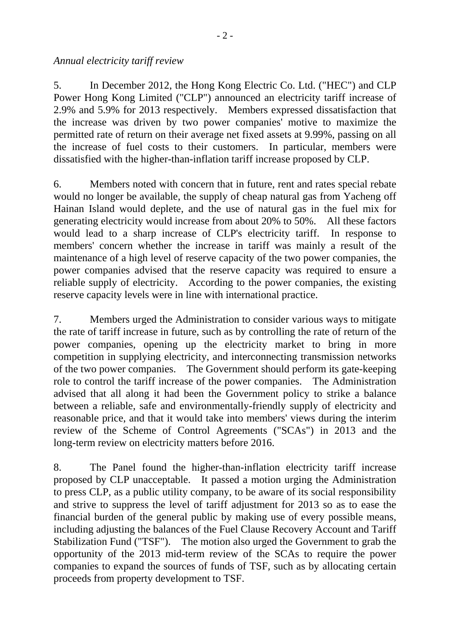#### *Annual electricity tariff review*

5. In December 2012, the Hong Kong Electric Co. Ltd. ("HEC") and CLP Power Hong Kong Limited ("CLP") announced an electricity tariff increase of 2.9% and 5.9% for 2013 respectively. Members expressed dissatisfaction that the increase was driven by two power companies' motive to maximize the permitted rate of return on their average net fixed assets at 9.99%, passing on all the increase of fuel costs to their customers. In particular, members were dissatisfied with the higher-than-inflation tariff increase proposed by CLP.

6. Members noted with concern that in future, rent and rates special rebate would no longer be available, the supply of cheap natural gas from Yacheng off Hainan Island would deplete, and the use of natural gas in the fuel mix for generating electricity would increase from about 20% to 50%. All these factors would lead to a sharp increase of CLP's electricity tariff. In response to members' concern whether the increase in tariff was mainly a result of the maintenance of a high level of reserve capacity of the two power companies, the power companies advised that the reserve capacity was required to ensure a reliable supply of electricity. According to the power companies, the existing reserve capacity levels were in line with international practice.

7. Members urged the Administration to consider various ways to mitigate the rate of tariff increase in future, such as by controlling the rate of return of the power companies, opening up the electricity market to bring in more competition in supplying electricity, and interconnecting transmission networks of the two power companies. The Government should perform its gate-keeping role to control the tariff increase of the power companies. The Administration advised that all along it had been the Government policy to strike a balance between a reliable, safe and environmentally-friendly supply of electricity and reasonable price, and that it would take into members' views during the interim review of the Scheme of Control Agreements ("SCAs") in 2013 and the long-term review on electricity matters before 2016.

8. The Panel found the higher-than-inflation electricity tariff increase proposed by CLP unacceptable. It passed a motion urging the Administration to press CLP, as a public utility company, to be aware of its social responsibility and strive to suppress the level of tariff adjustment for 2013 so as to ease the financial burden of the general public by making use of every possible means, including adjusting the balances of the Fuel Clause Recovery Account and Tariff Stabilization Fund ("TSF"). The motion also urged the Government to grab the opportunity of the 2013 mid-term review of the SCAs to require the power companies to expand the sources of funds of TSF, such as by allocating certain proceeds from property development to TSF.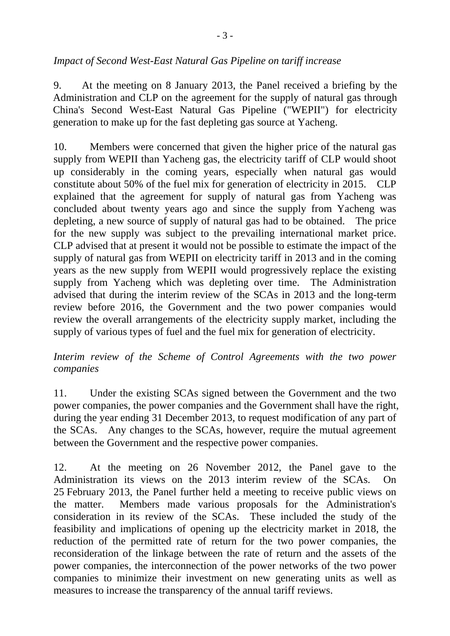## *Impact of Second West-East Natural Gas Pipeline on tariff increase*

9. At the meeting on 8 January 2013, the Panel received a briefing by the Administration and CLP on the agreement for the supply of natural gas through China's Second West-East Natural Gas Pipeline ("WEPII") for electricity generation to make up for the fast depleting gas source at Yacheng.

10. Members were concerned that given the higher price of the natural gas supply from WEPII than Yacheng gas, the electricity tariff of CLP would shoot up considerably in the coming years, especially when natural gas would constitute about 50% of the fuel mix for generation of electricity in 2015. CLP explained that the agreement for supply of natural gas from Yacheng was concluded about twenty years ago and since the supply from Yacheng was depleting, a new source of supply of natural gas had to be obtained. The price for the new supply was subject to the prevailing international market price. CLP advised that at present it would not be possible to estimate the impact of the supply of natural gas from WEPII on electricity tariff in 2013 and in the coming years as the new supply from WEPII would progressively replace the existing supply from Yacheng which was depleting over time. The Administration advised that during the interim review of the SCAs in 2013 and the long-term review before 2016, the Government and the two power companies would review the overall arrangements of the electricity supply market, including the supply of various types of fuel and the fuel mix for generation of electricity.

## *Interim review of the Scheme of Control Agreements with the two power companies*

11. Under the existing SCAs signed between the Government and the two power companies, the power companies and the Government shall have the right, during the year ending 31 December 2013, to request modification of any part of the SCAs. Any changes to the SCAs, however, require the mutual agreement between the Government and the respective power companies.

12. At the meeting on 26 November 2012, the Panel gave to the Administration its views on the 2013 interim review of the SCAs. On 25 February 2013, the Panel further held a meeting to receive public views on the matter. Members made various proposals for the Administration's consideration in its review of the SCAs. These included the study of the feasibility and implications of opening up the electricity market in 2018, the reduction of the permitted rate of return for the two power companies, the reconsideration of the linkage between the rate of return and the assets of the power companies, the interconnection of the power networks of the two power companies to minimize their investment on new generating units as well as measures to increase the transparency of the annual tariff reviews.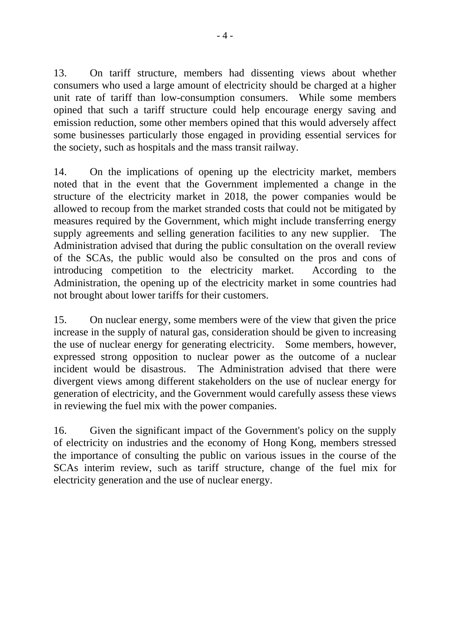13. On tariff structure, members had dissenting views about whether consumers who used a large amount of electricity should be charged at a higher unit rate of tariff than low-consumption consumers. While some members opined that such a tariff structure could help encourage energy saving and emission reduction, some other members opined that this would adversely affect some businesses particularly those engaged in providing essential services for the society, such as hospitals and the mass transit railway.

14. On the implications of opening up the electricity market, members noted that in the event that the Government implemented a change in the structure of the electricity market in 2018, the power companies would be allowed to recoup from the market stranded costs that could not be mitigated by measures required by the Government, which might include transferring energy supply agreements and selling generation facilities to any new supplier. The Administration advised that during the public consultation on the overall review of the SCAs, the public would also be consulted on the pros and cons of introducing competition to the electricity market. According to the Administration, the opening up of the electricity market in some countries had not brought about lower tariffs for their customers.

15. On nuclear energy, some members were of the view that given the price increase in the supply of natural gas, consideration should be given to increasing the use of nuclear energy for generating electricity. Some members, however, expressed strong opposition to nuclear power as the outcome of a nuclear incident would be disastrous. The Administration advised that there were divergent views among different stakeholders on the use of nuclear energy for generation of electricity, and the Government would carefully assess these views in reviewing the fuel mix with the power companies.

16. Given the significant impact of the Government's policy on the supply of electricity on industries and the economy of Hong Kong, members stressed the importance of consulting the public on various issues in the course of the SCAs interim review, such as tariff structure, change of the fuel mix for electricity generation and the use of nuclear energy.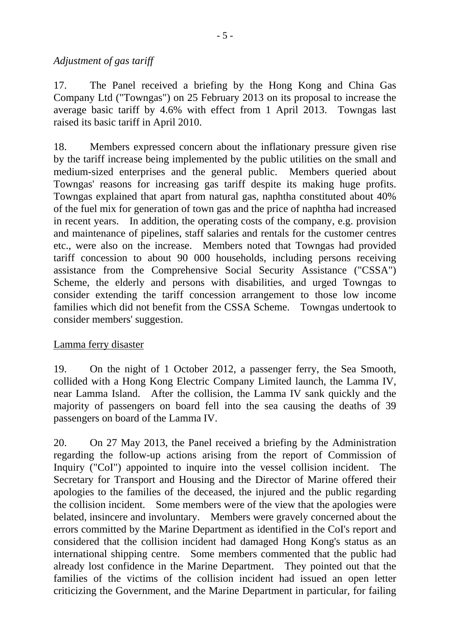### *Adjustment of gas tariff*

17. The Panel received a briefing by the Hong Kong and China Gas Company Ltd ("Towngas") on 25 February 2013 on its proposal to increase the average basic tariff by 4.6% with effect from 1 April 2013. Towngas last raised its basic tariff in April 2010.

18. Members expressed concern about the inflationary pressure given rise by the tariff increase being implemented by the public utilities on the small and medium-sized enterprises and the general public. Members queried about Towngas' reasons for increasing gas tariff despite its making huge profits. Towngas explained that apart from natural gas, naphtha constituted about 40% of the fuel mix for generation of town gas and the price of naphtha had increased in recent years. In addition, the operating costs of the company, e.g. provision and maintenance of pipelines, staff salaries and rentals for the customer centres etc., were also on the increase. Members noted that Towngas had provided tariff concession to about 90 000 households, including persons receiving assistance from the Comprehensive Social Security Assistance ("CSSA") Scheme, the elderly and persons with disabilities, and urged Towngas to consider extending the tariff concession arrangement to those low income families which did not benefit from the CSSA Scheme. Towngas undertook to consider members' suggestion.

## Lamma ferry disaster

19. On the night of 1 October 2012, a passenger ferry, the Sea Smooth, collided with a Hong Kong Electric Company Limited launch, the Lamma IV, near Lamma Island. After the collision, the Lamma IV sank quickly and the majority of passengers on board fell into the sea causing the deaths of 39 passengers on board of the Lamma IV.

20. On 27 May 2013, the Panel received a briefing by the Administration regarding the follow-up actions arising from the report of Commission of Inquiry ("CoI") appointed to inquire into the vessel collision incident. The Secretary for Transport and Housing and the Director of Marine offered their apologies to the families of the deceased, the injured and the public regarding the collision incident. Some members were of the view that the apologies were belated, insincere and involuntary. Members were gravely concerned about the errors committed by the Marine Department as identified in the CoI's report and considered that the collision incident had damaged Hong Kong's status as an international shipping centre. Some members commented that the public had already lost confidence in the Marine Department. They pointed out that the families of the victims of the collision incident had issued an open letter criticizing the Government, and the Marine Department in particular, for failing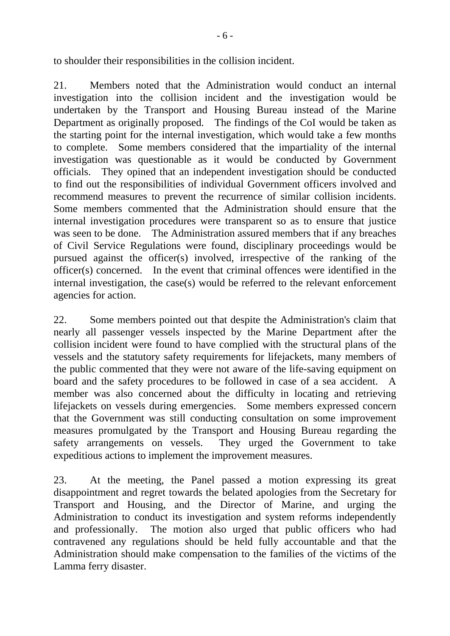to shoulder their responsibilities in the collision incident.

21. Members noted that the Administration would conduct an internal investigation into the collision incident and the investigation would be undertaken by the Transport and Housing Bureau instead of the Marine Department as originally proposed. The findings of the CoI would be taken as the starting point for the internal investigation, which would take a few months to complete. Some members considered that the impartiality of the internal investigation was questionable as it would be conducted by Government officials. They opined that an independent investigation should be conducted to find out the responsibilities of individual Government officers involved and recommend measures to prevent the recurrence of similar collision incidents. Some members commented that the Administration should ensure that the internal investigation procedures were transparent so as to ensure that justice was seen to be done. The Administration assured members that if any breaches of Civil Service Regulations were found, disciplinary proceedings would be pursued against the officer(s) involved, irrespective of the ranking of the officer(s) concerned. In the event that criminal offences were identified in the internal investigation, the case(s) would be referred to the relevant enforcement agencies for action.

22. Some members pointed out that despite the Administration's claim that nearly all passenger vessels inspected by the Marine Department after the collision incident were found to have complied with the structural plans of the vessels and the statutory safety requirements for lifejackets, many members of the public commented that they were not aware of the life-saving equipment on board and the safety procedures to be followed in case of a sea accident. A member was also concerned about the difficulty in locating and retrieving lifejackets on vessels during emergencies. Some members expressed concern that the Government was still conducting consultation on some improvement measures promulgated by the Transport and Housing Bureau regarding the safety arrangements on vessels. They urged the Government to take expeditious actions to implement the improvement measures.

23. At the meeting, the Panel passed a motion expressing its great disappointment and regret towards the belated apologies from the Secretary for Transport and Housing, and the Director of Marine, and urging the Administration to conduct its investigation and system reforms independently and professionally. The motion also urged that public officers who had contravened any regulations should be held fully accountable and that the Administration should make compensation to the families of the victims of the Lamma ferry disaster.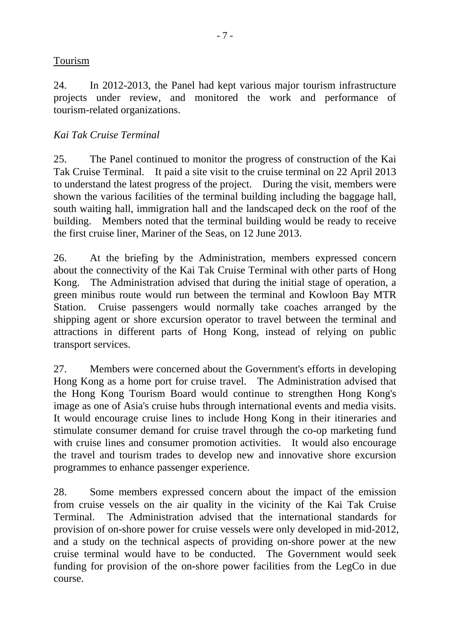## Tourism

24. In 2012-2013, the Panel had kept various major tourism infrastructure projects under review, and monitored the work and performance of tourism-related organizations.

## *Kai Tak Cruise Terminal*

25. The Panel continued to monitor the progress of construction of the Kai Tak Cruise Terminal. It paid a site visit to the cruise terminal on 22 April 2013 to understand the latest progress of the project. During the visit, members were shown the various facilities of the terminal building including the baggage hall, south waiting hall, immigration hall and the landscaped deck on the roof of the building. Members noted that the terminal building would be ready to receive the first cruise liner, Mariner of the Seas, on 12 June 2013.

26. At the briefing by the Administration, members expressed concern about the connectivity of the Kai Tak Cruise Terminal with other parts of Hong Kong. The Administration advised that during the initial stage of operation, a green minibus route would run between the terminal and Kowloon Bay MTR Station. Cruise passengers would normally take coaches arranged by the shipping agent or shore excursion operator to travel between the terminal and attractions in different parts of Hong Kong, instead of relying on public transport services.

27. Members were concerned about the Government's efforts in developing Hong Kong as a home port for cruise travel. The Administration advised that the Hong Kong Tourism Board would continue to strengthen Hong Kong's image as one of Asia's cruise hubs through international events and media visits. It would encourage cruise lines to include Hong Kong in their itineraries and stimulate consumer demand for cruise travel through the co-op marketing fund with cruise lines and consumer promotion activities. It would also encourage the travel and tourism trades to develop new and innovative shore excursion programmes to enhance passenger experience.

28. Some members expressed concern about the impact of the emission from cruise vessels on the air quality in the vicinity of the Kai Tak Cruise Terminal. The Administration advised that the international standards for provision of on-shore power for cruise vessels were only developed in mid-2012, and a study on the technical aspects of providing on-shore power at the new cruise terminal would have to be conducted. The Government would seek funding for provision of the on-shore power facilities from the LegCo in due course.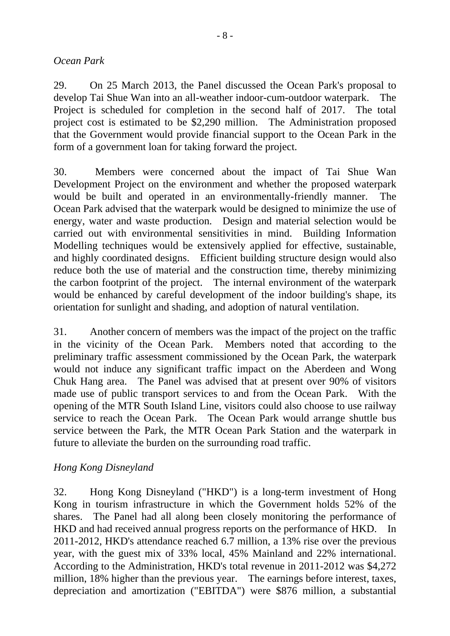#### *Ocean Park*

29. On 25 March 2013, the Panel discussed the Ocean Park's proposal to develop Tai Shue Wan into an all-weather indoor-cum-outdoor waterpark. The Project is scheduled for completion in the second half of 2017. The total project cost is estimated to be \$2,290 million. The Administration proposed that the Government would provide financial support to the Ocean Park in the form of a government loan for taking forward the project.

30. Members were concerned about the impact of Tai Shue Wan Development Project on the environment and whether the proposed waterpark would be built and operated in an environmentally-friendly manner. The Ocean Park advised that the waterpark would be designed to minimize the use of energy, water and waste production. Design and material selection would be carried out with environmental sensitivities in mind. Building Information Modelling techniques would be extensively applied for effective, sustainable, and highly coordinated designs. Efficient building structure design would also reduce both the use of material and the construction time, thereby minimizing the carbon footprint of the project. The internal environment of the waterpark would be enhanced by careful development of the indoor building's shape, its orientation for sunlight and shading, and adoption of natural ventilation.

31. Another concern of members was the impact of the project on the traffic in the vicinity of the Ocean Park. Members noted that according to the preliminary traffic assessment commissioned by the Ocean Park, the waterpark would not induce any significant traffic impact on the Aberdeen and Wong Chuk Hang area. The Panel was advised that at present over 90% of visitors made use of public transport services to and from the Ocean Park. With the opening of the MTR South Island Line, visitors could also choose to use railway service to reach the Ocean Park. The Ocean Park would arrange shuttle bus service between the Park, the MTR Ocean Park Station and the waterpark in future to alleviate the burden on the surrounding road traffic.

### *Hong Kong Disneyland*

32. Hong Kong Disneyland ("HKD") is a long-term investment of Hong Kong in tourism infrastructure in which the Government holds 52% of the shares. The Panel had all along been closely monitoring the performance of HKD and had received annual progress reports on the performance of HKD. In 2011-2012, HKD's attendance reached 6.7 million, a 13% rise over the previous year, with the guest mix of 33% local, 45% Mainland and 22% international. According to the Administration, HKD's total revenue in 2011-2012 was \$4,272 million, 18% higher than the previous year. The earnings before interest, taxes, depreciation and amortization ("EBITDA") were \$876 million, a substantial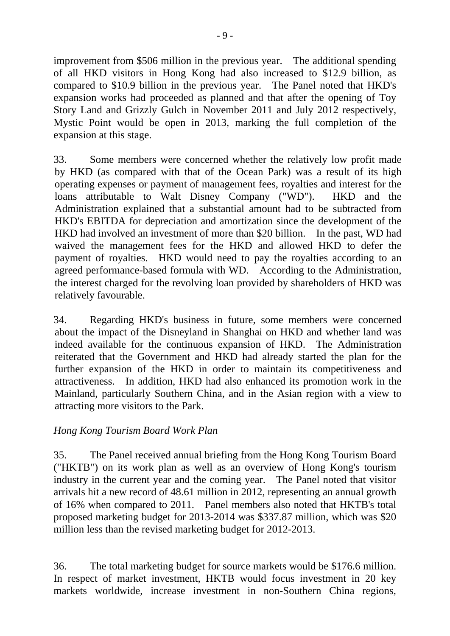improvement from \$506 million in the previous year. The additional spending of all HKD visitors in Hong Kong had also increased to \$12.9 billion, as compared to \$10.9 billion in the previous year. The Panel noted that HKD's expansion works had proceeded as planned and that after the opening of Toy Story Land and Grizzly Gulch in November 2011 and July 2012 respectively, Mystic Point would be open in 2013, marking the full completion of the expansion at this stage.

33. Some members were concerned whether the relatively low profit made by HKD (as compared with that of the Ocean Park) was a result of its high operating expenses or payment of management fees, royalties and interest for the loans attributable to Walt Disney Company ("WD"). HKD and the Administration explained that a substantial amount had to be subtracted from HKD's EBITDA for depreciation and amortization since the development of the HKD had involved an investment of more than \$20 billion. In the past, WD had waived the management fees for the HKD and allowed HKD to defer the payment of royalties. HKD would need to pay the royalties according to an agreed performance-based formula with WD. According to the Administration, the interest charged for the revolving loan provided by shareholders of HKD was relatively favourable.

34. Regarding HKD's business in future, some members were concerned about the impact of the Disneyland in Shanghai on HKD and whether land was indeed available for the continuous expansion of HKD. The Administration reiterated that the Government and HKD had already started the plan for the further expansion of the HKD in order to maintain its competitiveness and attractiveness. In addition, HKD had also enhanced its promotion work in the Mainland, particularly Southern China, and in the Asian region with a view to attracting more visitors to the Park.

## *Hong Kong Tourism Board Work Plan*

35. The Panel received annual briefing from the Hong Kong Tourism Board ("HKTB") on its work plan as well as an overview of Hong Kong's tourism industry in the current year and the coming year. The Panel noted that visitor arrivals hit a new record of 48.61 million in 2012, representing an annual growth of 16% when compared to 2011. Panel members also noted that HKTB's total proposed marketing budget for 2013-2014 was \$337.87 million, which was \$20 million less than the revised marketing budget for 2012-2013.

36. The total marketing budget for source markets would be \$176.6 million. In respect of market investment, HKTB would focus investment in 20 key markets worldwide, increase investment in non-Southern China regions,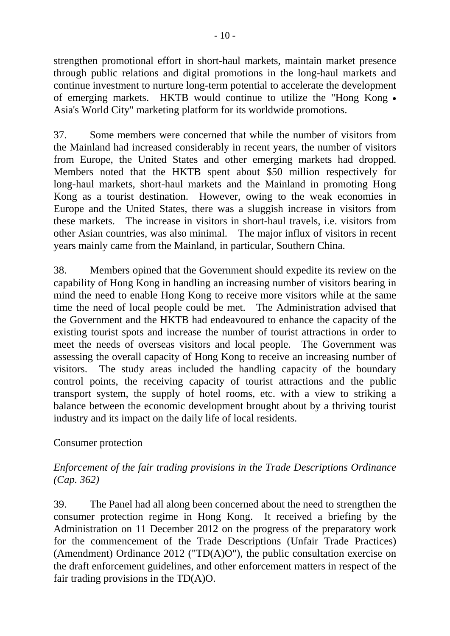strengthen promotional effort in short-haul markets, maintain market presence through public relations and digital promotions in the long-haul markets and continue investment to nurture long-term potential to accelerate the development of emerging markets. HKTB would continue to utilize the "Hong Kong . Asia's World City" marketing platform for its worldwide promotions.

37. Some members were concerned that while the number of visitors from the Mainland had increased considerably in recent years, the number of visitors from Europe, the United States and other emerging markets had dropped. Members noted that the HKTB spent about \$50 million respectively for long-haul markets, short-haul markets and the Mainland in promoting Hong Kong as a tourist destination. However, owing to the weak economies in Europe and the United States, there was a sluggish increase in visitors from these markets. The increase in visitors in short-haul travels, i.e. visitors from other Asian countries, was also minimal. The major influx of visitors in recent years mainly came from the Mainland, in particular, Southern China.

38. Members opined that the Government should expedite its review on the capability of Hong Kong in handling an increasing number of visitors bearing in mind the need to enable Hong Kong to receive more visitors while at the same time the need of local people could be met. The Administration advised that the Government and the HKTB had endeavoured to enhance the capacity of the existing tourist spots and increase the number of tourist attractions in order to meet the needs of overseas visitors and local people. The Government was assessing the overall capacity of Hong Kong to receive an increasing number of visitors. The study areas included the handling capacity of the boundary control points, the receiving capacity of tourist attractions and the public transport system, the supply of hotel rooms, etc. with a view to striking a balance between the economic development brought about by a thriving tourist industry and its impact on the daily life of local residents.

### Consumer protection

## *Enforcement of the fair trading provisions in the Trade Descriptions Ordinance (Cap. 362)*

39. The Panel had all along been concerned about the need to strengthen the consumer protection regime in Hong Kong. It received a briefing by the Administration on 11 December 2012 on the progress of the preparatory work for the commencement of the Trade Descriptions (Unfair Trade Practices) (Amendment) Ordinance 2012 ("TD(A)O"), the public consultation exercise on the draft enforcement guidelines, and other enforcement matters in respect of the fair trading provisions in the TD(A)O.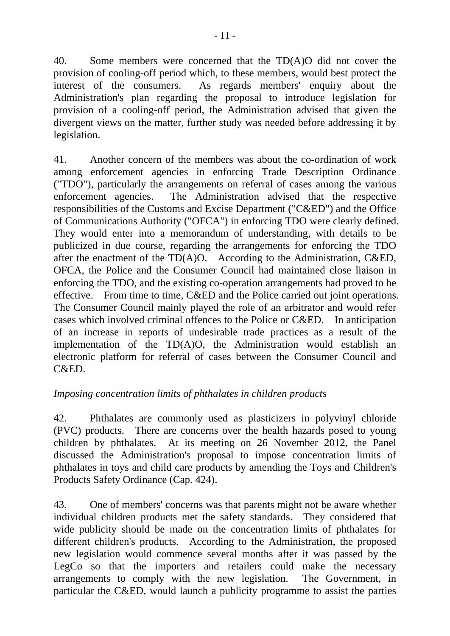40. Some members were concerned that the TD(A)O did not cover the provision of cooling-off period which, to these members, would best protect the interest of the consumers. As regards members' enquiry about the Administration's plan regarding the proposal to introduce legislation for provision of a cooling-off period, the Administration advised that given the divergent views on the matter, further study was needed before addressing it by legislation.

41. Another concern of the members was about the co-ordination of work among enforcement agencies in enforcing Trade Description Ordinance ("TDO"), particularly the arrangements on referral of cases among the various enforcement agencies. The Administration advised that the respective responsibilities of the Customs and Excise Department ("C&ED") and the Office of Communications Authority ("OFCA") in enforcing TDO were clearly defined. They would enter into a memorandum of understanding, with details to be publicized in due course, regarding the arrangements for enforcing the TDO after the enactment of the TD(A)O. According to the Administration, C&ED, OFCA, the Police and the Consumer Council had maintained close liaison in enforcing the TDO, and the existing co-operation arrangements had proved to be effective. From time to time, C&ED and the Police carried out joint operations. The Consumer Council mainly played the role of an arbitrator and would refer cases which involved criminal offences to the Police or C&ED. In anticipation of an increase in reports of undesirable trade practices as a result of the implementation of the TD(A)O, the Administration would establish an electronic platform for referral of cases between the Consumer Council and C&ED.

## *Imposing concentration limits of phthalates in children products*

42. Phthalates are commonly used as plasticizers in polyvinyl chloride (PVC) products. There are concerns over the health hazards posed to young children by phthalates. At its meeting on 26 November 2012, the Panel discussed the Administration's proposal to impose concentration limits of phthalates in toys and child care products by amending the Toys and Children's Products Safety Ordinance (Cap. 424).

43. One of members' concerns was that parents might not be aware whether individual children products met the safety standards. They considered that wide publicity should be made on the concentration limits of phthalates for different children's products. According to the Administration, the proposed new legislation would commence several months after it was passed by the LegCo so that the importers and retailers could make the necessary arrangements to comply with the new legislation. The Government, in particular the C&ED, would launch a publicity programme to assist the parties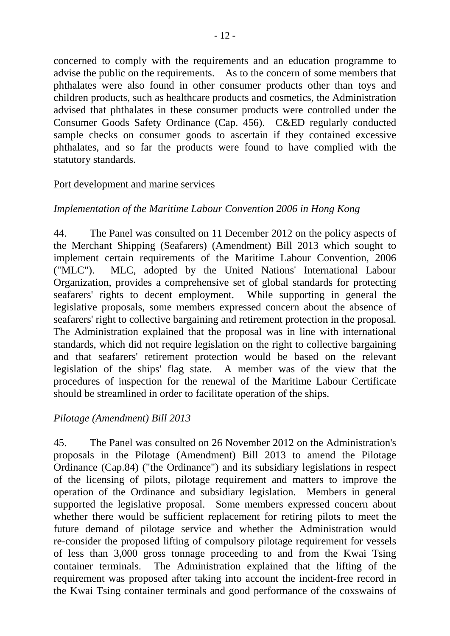concerned to comply with the requirements and an education programme to advise the public on the requirements. As to the concern of some members that phthalates were also found in other consumer products other than toys and children products, such as healthcare products and cosmetics, the Administration advised that phthalates in these consumer products were controlled under the Consumer Goods Safety Ordinance (Cap. 456). C&ED regularly conducted sample checks on consumer goods to ascertain if they contained excessive phthalates, and so far the products were found to have complied with the statutory standards.

### Port development and marine services

## *Implementation of the Maritime Labour Convention 2006 in Hong Kong*

44. The Panel was consulted on 11 December 2012 on the policy aspects of the Merchant Shipping (Seafarers) (Amendment) Bill 2013 which sought to implement certain requirements of the Maritime Labour Convention, 2006 ("MLC"). MLC, adopted by the United Nations' International Labour Organization, provides a comprehensive set of global standards for protecting seafarers' rights to decent employment. While supporting in general the legislative proposals, some members expressed concern about the absence of seafarers' right to collective bargaining and retirement protection in the proposal. The Administration explained that the proposal was in line with international standards, which did not require legislation on the right to collective bargaining and that seafarers' retirement protection would be based on the relevant legislation of the ships' flag state. A member was of the view that the procedures of inspection for the renewal of the Maritime Labour Certificate should be streamlined in order to facilitate operation of the ships.

### *Pilotage (Amendment) Bill 2013*

45. The Panel was consulted on 26 November 2012 on the Administration's proposals in the Pilotage (Amendment) Bill 2013 to amend the Pilotage Ordinance (Cap.84) ("the Ordinance") and its subsidiary legislations in respect of the licensing of pilots, pilotage requirement and matters to improve the operation of the Ordinance and subsidiary legislation. Members in general supported the legislative proposal. Some members expressed concern about whether there would be sufficient replacement for retiring pilots to meet the future demand of pilotage service and whether the Administration would re-consider the proposed lifting of compulsory pilotage requirement for vessels of less than 3,000 gross tonnage proceeding to and from the Kwai Tsing container terminals. The Administration explained that the lifting of the requirement was proposed after taking into account the incident-free record in the Kwai Tsing container terminals and good performance of the coxswains of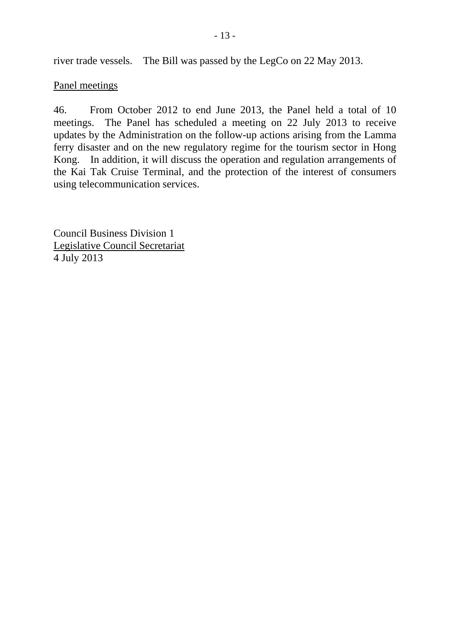river trade vessels. The Bill was passed by the LegCo on 22 May 2013.

#### Panel meetings

46. From October 2012 to end June 2013, the Panel held a total of 10 meetings. The Panel has scheduled a meeting on 22 July 2013 to receive updates by the Administration on the follow-up actions arising from the Lamma ferry disaster and on the new regulatory regime for the tourism sector in Hong Kong. In addition, it will discuss the operation and regulation arrangements of the Kai Tak Cruise Terminal, and the protection of the interest of consumers using telecommunication services.

Council Business Division 1 Legislative Council Secretariat 4 July 2013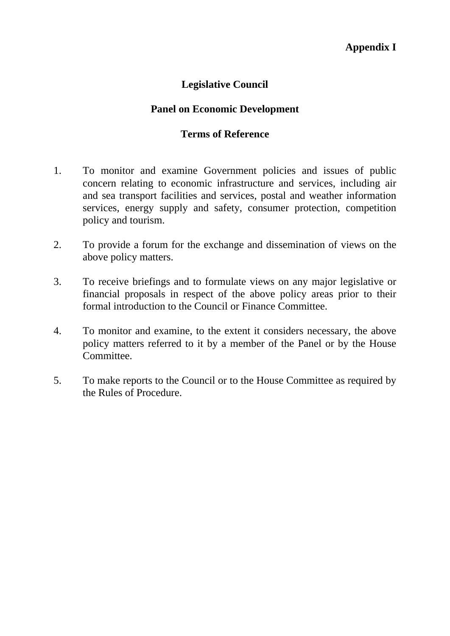## **Legislative Council**

## **Panel on Economic Development**

#### **Terms of Reference**

- 1. To monitor and examine Government policies and issues of public concern relating to economic infrastructure and services, including air and sea transport facilities and services, postal and weather information services, energy supply and safety, consumer protection, competition policy and tourism.
- 2. To provide a forum for the exchange and dissemination of views on the above policy matters.
- 3. To receive briefings and to formulate views on any major legislative or financial proposals in respect of the above policy areas prior to their formal introduction to the Council or Finance Committee.
- 4. To monitor and examine, to the extent it considers necessary, the above policy matters referred to it by a member of the Panel or by the House Committee.
- 5. To make reports to the Council or to the House Committee as required by the Rules of Procedure.